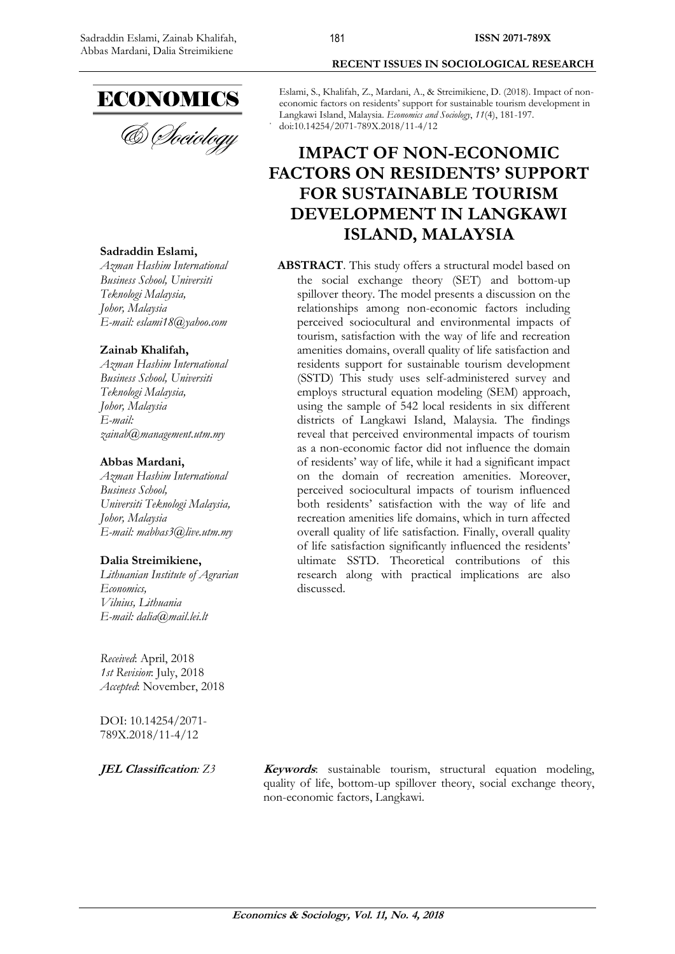

### **Sadraddin Eslami,**

*Azman Hashim International Business School, Universiti Teknologi Malaysia, Johor, Malaysia E-mail: eslami18@yahoo.com*

### **Zainab Khalifah,**

*Azman Hashim International Business School, Universiti Teknologi Malaysia, Johor, Malaysia E-mail: zainab@management.utm.my*

#### **Abbas Mardani,**

*Azman Hashim International Business School, Universiti Teknologi Malaysia, Johor, Malaysia E-mail: mabbas3@live.utm.my*

#### **Dalia Streimikiene,**

*Lithuanian Institute of Agrarian Economics, Vilnius, Lithuania E-mail: dalia@mail.lei.lt*

*Received*: April, 2018 *1st Revision*: July, 2018 *Accepted*: November, 2018

DOI: 10.14254/2071- 789X.2018/11-4/12

#### **RECENT ISSUES IN SOCIOLOGICAL RESEARCH**

Eslami, S., Khalifah, Z., Mardani, A., & Streimikiene, D. (2018). Impact of noneconomic factors on residents' support for sustainable tourism development in Langkawi Island, Malaysia. *Economics and Sociology*, *11*(4), 181-197. doi:10.14254/2071-789X.2018/11-4/12

# **IMPACT OF NON-ECONOMIC FACTORS ON RESIDENTS' SUPPORT FOR SUSTAINABLE TOURISM DEVELOPMENT IN LANGKAWI ISLAND, MALAYSIA**

**ABSTRACT**. This study offers a structural model based on the social exchange theory (SET) and bottom-up spillover theory. The model presents a discussion on the relationships among non-economic factors including perceived sociocultural and environmental impacts of tourism, satisfaction with the way of life and recreation amenities domains, overall quality of life satisfaction and residents support for sustainable tourism development (SSTD) This study uses self-administered survey and employs structural equation modeling (SEM) approach, using the sample of 542 local residents in six different districts of Langkawi Island, Malaysia. The findings reveal that perceived environmental impacts of tourism as a non-economic factor did not influence the domain of residents' way of life, while it had a significant impact on the domain of recreation amenities. Moreover, perceived sociocultural impacts of tourism influenced both residents' satisfaction with the way of life and recreation amenities life domains, which in turn affected overall quality of life satisfaction. Finally, overall quality of life satisfaction significantly influenced the residents' ultimate SSTD. Theoretical contributions of this research along with practical implications are also discussed.

**JEL Classification:** Z3 **Keywords**: sustainable tourism, structural equation modeling, quality of life, bottom-up spillover theory, social exchange theory, non-economic factors, Langkawi.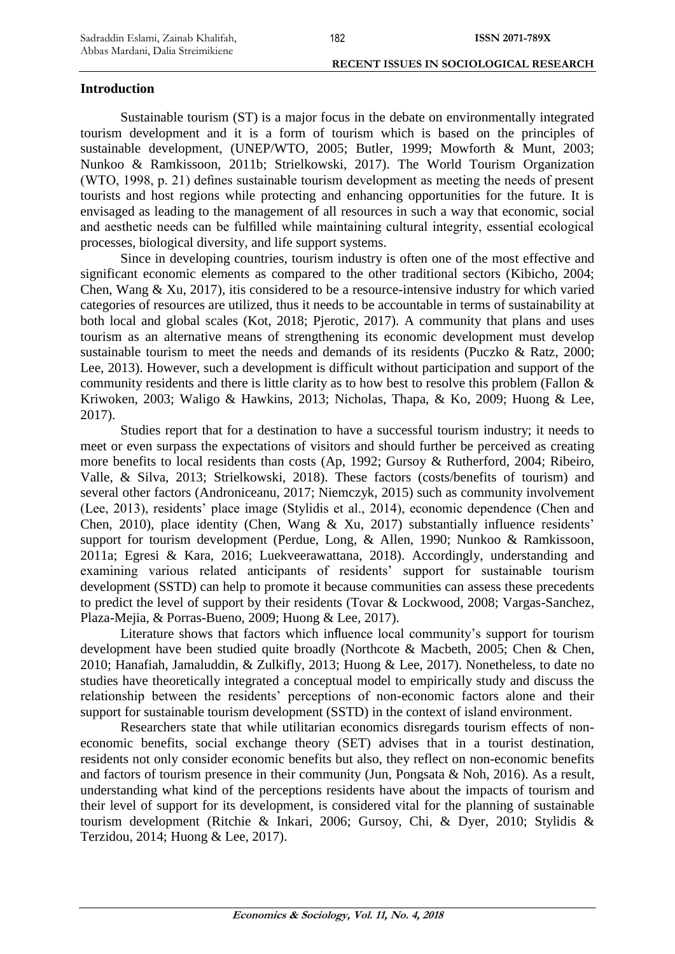# **Introduction**

Sustainable tourism (ST) is a major focus in the debate on environmentally integrated tourism development and it is a form of tourism which is based on the principles of sustainable development, (UNEP/WTO, 2005; Butler, 1999; Mowforth & Munt, 2003; Nunkoo & Ramkissoon, 2011b; Strielkowski, 2017). The World Tourism Organization (WTO, 1998, p. 21) defines sustainable tourism development as meeting the needs of present tourists and host regions while protecting and enhancing opportunities for the future. It is envisaged as leading to the management of all resources in such a way that economic, social and aesthetic needs can be fulfilled while maintaining cultural integrity, essential ecological processes, biological diversity, and life support systems.

Since in developing countries, tourism industry is often one of the most effective and significant economic elements as compared to the other traditional sectors (Kibicho, 2004; Chen, Wang & Xu, 2017), itis considered to be a resource-intensive industry for which varied categories of resources are utilized, thus it needs to be accountable in terms of sustainability at both local and global scales (Kot, 2018; Pjerotic, 2017). A community that plans and uses tourism as an alternative means of strengthening its economic development must develop sustainable tourism to meet the needs and demands of its residents (Puczko & Ratz, 2000; Lee, 2013). However, such a development is difficult without participation and support of the community residents and there is little clarity as to how best to resolve this problem (Fallon & Kriwoken, 2003; Waligo & Hawkins, 2013; Nicholas, Thapa, & Ko, 2009; Huong & Lee, 2017).

Studies report that for a destination to have a successful tourism industry; it needs to meet or even surpass the expectations of visitors and should further be perceived as creating more benefits to local residents than costs (Ap, 1992; Gursoy & Rutherford, 2004; Ribeiro, Valle, & Silva, 2013; Strielkowski, 2018). These factors (costs/benefits of tourism) and several other factors (Androniceanu, 2017; Niemczyk, 2015) such as community involvement (Lee, 2013), residents' place image (Stylidis et al., 2014), economic dependence (Chen and Chen, 2010), place identity (Chen, Wang & Xu, 2017) substantially influence residents' support for tourism development (Perdue, Long, & Allen, 1990; Nunkoo & Ramkissoon, 2011a; Egresi & Kara, 2016; Luekveerawattana, 2018). Accordingly, understanding and examining various related anticipants of residents' support for sustainable tourism development (SSTD) can help to promote it because communities can assess these precedents to predict the level of support by their residents (Tovar & Lockwood, 2008; Vargas-Sanchez, Plaza-Mejia, & Porras-Bueno, 2009; Huong & Lee, 2017).

Literature shows that factors which influence local community's support for tourism development have been studied quite broadly (Northcote & Macbeth, 2005; Chen & Chen, 2010; Hanafiah, Jamaluddin, & Zulkifly, 2013; Huong & Lee, 2017). Nonetheless, to date no studies have theoretically integrated a conceptual model to empirically study and discuss the relationship between the residents' perceptions of non-economic factors alone and their support for sustainable tourism development (SSTD) in the context of island environment.

Researchers state that while utilitarian economics disregards tourism effects of noneconomic benefits, social exchange theory (SET) advises that in a tourist destination, residents not only consider economic benefits but also, they reflect on non-economic benefits and factors of tourism presence in their community (Jun, Pongsata & Noh, 2016). As a result, understanding what kind of the perceptions residents have about the impacts of tourism and their level of support for its development, is considered vital for the planning of sustainable tourism development (Ritchie & Inkari, 2006; Gursoy, Chi, & Dyer, 2010; Stylidis & Terzidou, 2014; Huong & Lee, 2017).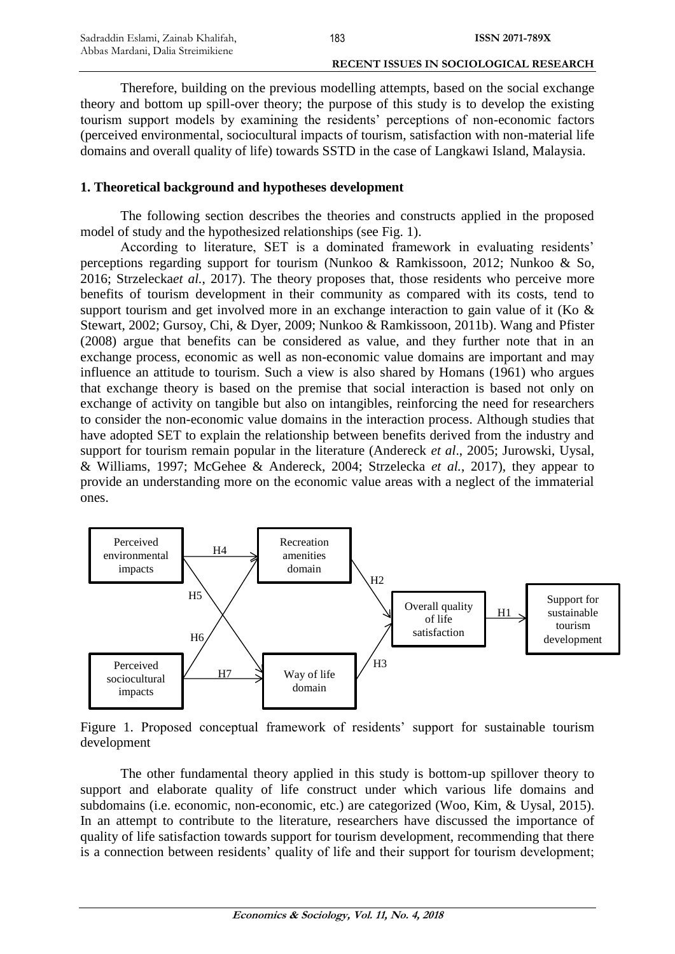Therefore, building on the previous modelling attempts, based on the social exchange theory and bottom up spill-over theory; the purpose of this study is to develop the existing tourism support models by examining the residents' perceptions of non-economic factors (perceived environmental, sociocultural impacts of tourism, satisfaction with non-material life domains and overall quality of life) towards SSTD in the case of Langkawi Island, Malaysia.

183

### **1. Theoretical background and hypotheses development**

The following section describes the theories and constructs applied in the proposed model of study and the hypothesized relationships (see Fig. 1).

According to literature, SET is a dominated framework in evaluating residents' perceptions regarding support for tourism (Nunkoo & Ramkissoon, 2012; Nunkoo & So, 2016; Strzelecka*et al.*, 2017). The theory proposes that, those residents who perceive more benefits of tourism development in their community as compared with its costs, tend to support tourism and get involved more in an exchange interaction to gain value of it (Ko & Stewart, 2002; Gursoy, Chi, & Dyer, 2009; Nunkoo & Ramkissoon, 2011b). Wang and Pfister (2008) argue that benefits can be considered as value, and they further note that in an exchange process, economic as well as non-economic value domains are important and may influence an attitude to tourism. Such a view is also shared by Homans (1961) who argues that exchange theory is based on the premise that social interaction is based not only on exchange of activity on tangible but also on intangibles, reinforcing the need for researchers to consider the non-economic value domains in the interaction process. Although studies that have adopted SET to explain the relationship between benefits derived from the industry and support for tourism remain popular in the literature (Andereck *et al*., 2005; Jurowski, Uysal, & Williams, 1997; McGehee & Andereck, 2004; Strzelecka *et al.*, 2017), they appear to provide an understanding more on the economic value areas with a neglect of the immaterial ones.



Figure 1. Proposed conceptual framework of residents' support for sustainable tourism development

The other fundamental theory applied in this study is bottom-up spillover theory to support and elaborate quality of life construct under which various life domains and subdomains (i.e. economic, non-economic, etc.) are categorized (Woo, Kim, & Uysal, 2015). In an attempt to contribute to the literature, researchers have discussed the importance of quality of life satisfaction towards support for tourism development, recommending that there is a connection between residents' quality of life and their support for tourism development;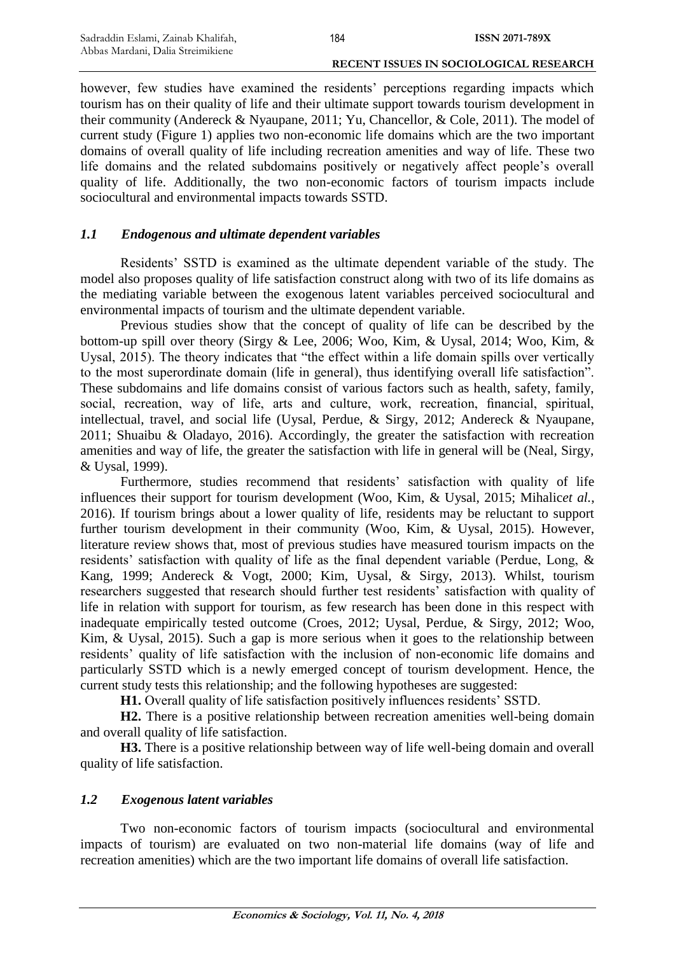however, few studies have examined the residents' perceptions regarding impacts which tourism has on their quality of life and their ultimate support towards tourism development in their community (Andereck & Nyaupane, 2011; Yu, Chancellor, & Cole, 2011). The model of current study (Figure 1) applies two non-economic life domains which are the two important domains of overall quality of life including recreation amenities and way of life. These two life domains and the related subdomains positively or negatively affect people's overall quality of life. Additionally, the two non-economic factors of tourism impacts include sociocultural and environmental impacts towards SSTD.

# *1.1 Endogenous and ultimate dependent variables*

Residents' SSTD is examined as the ultimate dependent variable of the study. The model also proposes quality of life satisfaction construct along with two of its life domains as the mediating variable between the exogenous latent variables perceived sociocultural and environmental impacts of tourism and the ultimate dependent variable.

Previous studies show that the concept of quality of life can be described by the bottom-up spill over theory (Sirgy & Lee, 2006; Woo, Kim, & Uysal, 2014; Woo, Kim, & Uysal, 2015). The theory indicates that "the effect within a life domain spills over vertically to the most superordinate domain (life in general), thus identifying overall life satisfaction". These subdomains and life domains consist of various factors such as health, safety, family, social, recreation, way of life, arts and culture, work, recreation, financial, spiritual, intellectual, travel, and social life (Uysal, Perdue, & Sirgy, 2012; Andereck & Nyaupane, 2011; Shuaibu & Oladayo, 2016). Accordingly, the greater the satisfaction with recreation amenities and way of life, the greater the satisfaction with life in general will be (Neal, Sirgy, & Uysal, 1999).

Furthermore, studies recommend that residents' satisfaction with quality of life influences their support for tourism development (Woo, Kim, & Uysal, 2015; Mihalic*et al.*, 2016). If tourism brings about a lower quality of life, residents may be reluctant to support further tourism development in their community (Woo, Kim, & Uysal, 2015). However, literature review shows that, most of previous studies have measured tourism impacts on the residents' satisfaction with quality of life as the final dependent variable (Perdue, Long, & Kang, 1999; Andereck & Vogt, 2000; Kim, Uysal, & Sirgy, 2013). Whilst, tourism researchers suggested that research should further test residents' satisfaction with quality of life in relation with support for tourism, as few research has been done in this respect with inadequate empirically tested outcome (Croes, 2012; Uysal, Perdue, & Sirgy, 2012; Woo, Kim, & Uysal, 2015). Such a gap is more serious when it goes to the relationship between residents' quality of life satisfaction with the inclusion of non-economic life domains and particularly SSTD which is a newly emerged concept of tourism development. Hence, the current study tests this relationship; and the following hypotheses are suggested:

**H1.** Overall quality of life satisfaction positively influences residents' SSTD.

**H2.** There is a positive relationship between recreation amenities well-being domain and overall quality of life satisfaction.

**H3.** There is a positive relationship between way of life well-being domain and overall quality of life satisfaction.

# *1.2 Exogenous latent variables*

Two non-economic factors of tourism impacts (sociocultural and environmental impacts of tourism) are evaluated on two non-material life domains (way of life and recreation amenities) which are the two important life domains of overall life satisfaction.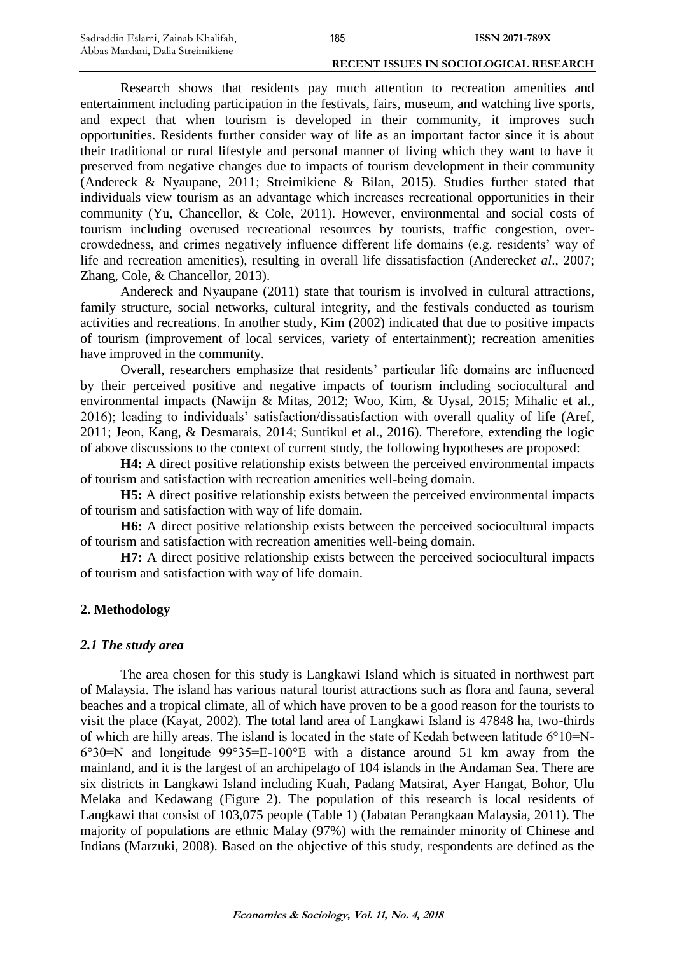Research shows that residents pay much attention to recreation amenities and entertainment including participation in the festivals, fairs, museum, and watching live sports, and expect that when tourism is developed in their community, it improves such opportunities. Residents further consider way of life as an important factor since it is about their traditional or rural lifestyle and personal manner of living which they want to have it preserved from negative changes due to impacts of tourism development in their community (Andereck & Nyaupane, 2011; Streimikiene & Bilan, 2015). Studies further stated that individuals view tourism as an advantage which increases recreational opportunities in their community (Yu, Chancellor, & Cole, 2011). However, environmental and social costs of tourism including overused recreational resources by tourists, traffic congestion, overcrowdedness, and crimes negatively influence different life domains (e.g. residents' way of life and recreation amenities), resulting in overall life dissatisfaction (Andereck*et al*., 2007; Zhang, Cole, & Chancellor, 2013).

Andereck and Nyaupane (2011) state that tourism is involved in cultural attractions, family structure, social networks, cultural integrity, and the festivals conducted as tourism activities and recreations. In another study, Kim (2002) indicated that due to positive impacts of tourism (improvement of local services, variety of entertainment); recreation amenities have improved in the community.

Overall, researchers emphasize that residents' particular life domains are influenced by their perceived positive and negative impacts of tourism including sociocultural and environmental impacts (Nawijn & Mitas, 2012; Woo, Kim, & Uysal, 2015; Mihalic et al., 2016); leading to individuals' satisfaction/dissatisfaction with overall quality of life (Aref, 2011; Jeon, Kang, & Desmarais, 2014; Suntikul et al., 2016). Therefore, extending the logic of above discussions to the context of current study, the following hypotheses are proposed:

**H4:** A direct positive relationship exists between the perceived environmental impacts of tourism and satisfaction with recreation amenities well-being domain.

**H5:** A direct positive relationship exists between the perceived environmental impacts of tourism and satisfaction with way of life domain.

**H6:** A direct positive relationship exists between the perceived sociocultural impacts of tourism and satisfaction with recreation amenities well-being domain.

**H7:** A direct positive relationship exists between the perceived sociocultural impacts of tourism and satisfaction with way of life domain.

# **2. Methodology**

# *2.1 The study area*

The area chosen for this study is Langkawi Island which is situated in northwest part of Malaysia. The island has various natural tourist attractions such as flora and fauna, several beaches and a tropical climate, all of which have proven to be a good reason for the tourists to visit the place (Kayat, 2002). The total land area of Langkawi Island is 47848 ha, two-thirds of which are hilly areas. The island is located in the state of Kedah between latitude 6°10=N-6°30=N and longitude 99°35=E-100°E with a distance around 51 km away from the mainland, and it is the largest of an archipelago of 104 islands in the Andaman Sea. There are six districts in Langkawi Island including Kuah, Padang Matsirat, Ayer Hangat, Bohor, Ulu Melaka and Kedawang (Figure 2). The population of this research is local residents of Langkawi that consist of 103,075 people (Table 1) (Jabatan Perangkaan Malaysia, 2011). The majority of populations are ethnic Malay (97%) with the remainder minority of Chinese and Indians (Marzuki, 2008). Based on the objective of this study, respondents are defined as the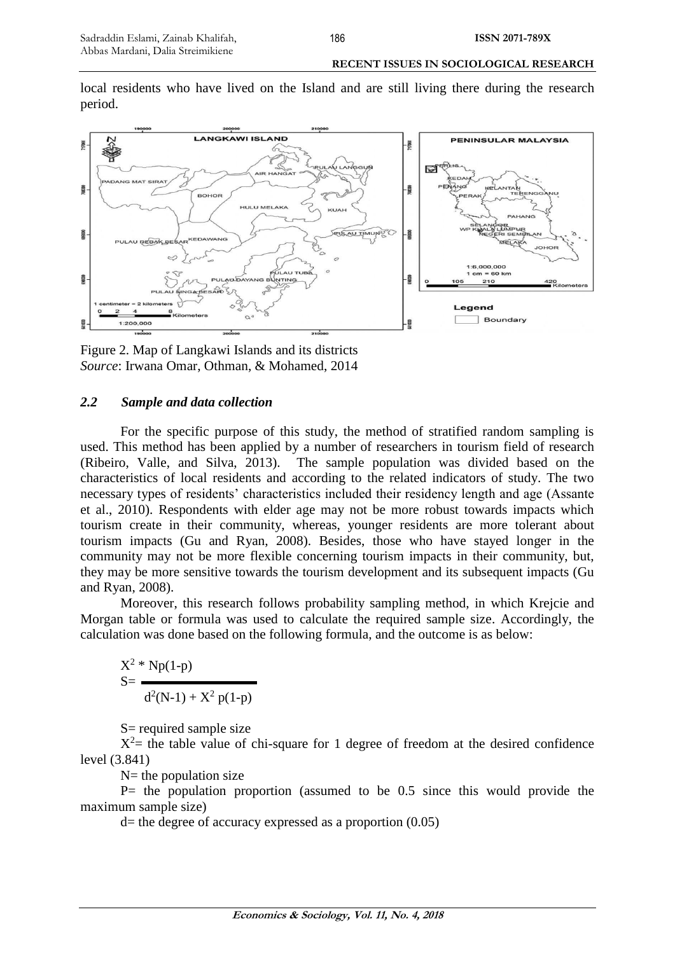local residents who have lived on the Island and are still living there during the research period.



Figure 2. Map of Langkawi Islands and its districts *Source*: Irwana Omar, Othman, & Mohamed, 2014

# *2.2 Sample and data collection*

For the specific purpose of this study, the method of stratified random sampling is used. This method has been applied by a number of researchers in tourism field of research (Ribeiro, Valle, and Silva, 2013). The sample population was divided based on the characteristics of local residents and according to the related indicators of study. The two necessary types of residents' characteristics included their residency length and age (Assante et al., 2010). Respondents with elder age may not be more robust towards impacts which tourism create in their community, whereas, younger residents are more tolerant about tourism impacts (Gu and Ryan, 2008). Besides, those who have stayed longer in the community may not be more flexible concerning tourism impacts in their community, but, they may be more sensitive towards the tourism development and its subsequent impacts (Gu and Ryan, 2008).

Moreover, this research follows probability sampling method, in which Krejcie and Morgan table or formula was used to calculate the required sample size. Accordingly, the calculation was done based on the following formula, and the outcome is as below:

 $X^2 * Np(1-p)$  $S=$  $d^2(N-1) + X^2 p(1-p)$ 

S= required sample size

 $X^2$  = the table value of chi-square for 1 degree of freedom at the desired confidence level (3.841)

 $N=$  the population size

 $P=$  the population proportion (assumed to be 0.5 since this would provide the maximum sample size)

 $d=$  the degree of accuracy expressed as a proportion  $(0.05)$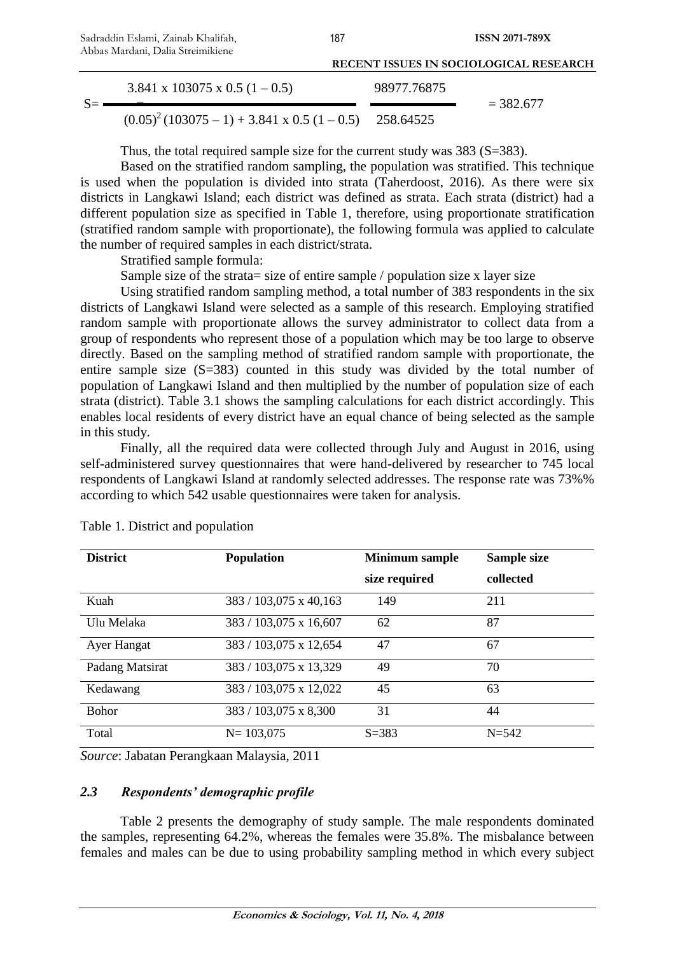| Tropas Margam, Dana Stremment                                  | <b>RECENT ISSUES IN SOCIOLOGICAL RESEARCH</b> |             |
|----------------------------------------------------------------|-----------------------------------------------|-------------|
| $3.841 \times 103075 \times 0.5 (1 - 0.5)$                     | 98977.76875                                   | $= 382.677$ |
| $(0.05)^2 (103075 - 1) + 3.841 \times 0.5 (1 - 0.5)$ 258.64525 |                                               |             |

187

Thus, the total required sample size for the current study was 383 (S=383).

Based on the stratified random sampling, the population was stratified. This technique is used when the population is divided into strata (Taherdoost, 2016). As there were six districts in Langkawi Island; each district was defined as strata. Each strata (district) had a different population size as specified in Table 1, therefore, using proportionate stratification (stratified random sample with proportionate), the following formula was applied to calculate the number of required samples in each district/strata.

Stratified sample formula:

Sample size of the strata = size of entire sample / population size x layer size

Using stratified random sampling method, a total number of 383 respondents in the six districts of Langkawi Island were selected as a sample of this research. Employing stratified random sample with proportionate allows the survey administrator to collect data from a group of respondents who represent those of a population which may be too large to observe directly. Based on the sampling method of stratified random sample with proportionate, the entire sample size (S=383) counted in this study was divided by the total number of population of Langkawi Island and then multiplied by the number of population size of each strata (district). Table 3.1 shows the sampling calculations for each district accordingly. This enables local residents of every district have an equal chance of being selected as the sample in this study.

Finally, all the required data were collected through July and August in 2016, using self-administered survey questionnaires that were hand-delivered by researcher to 745 local respondents of Langkawi Island at randomly selected addresses. The response rate was 73%% according to which 542 usable questionnaires were taken for analysis.

| <b>District</b> | <b>Population</b>      | <b>Minimum sample</b><br>size required | Sample size<br>collected |
|-----------------|------------------------|----------------------------------------|--------------------------|
| Kuah            | 383 / 103,075 x 40,163 | 149                                    | 211                      |
| Ulu Melaka      | 383 / 103,075 x 16,607 | 62                                     | 87                       |
| Ayer Hangat     | 383 / 103,075 x 12,654 | 47                                     | 67                       |
| Padang Matsirat | 383 / 103,075 x 13,329 | 49                                     | 70                       |
| Kedawang        | 383 / 103,075 x 12,022 | 45                                     | 63                       |
| <b>Bohor</b>    | 383 / 103,075 x 8,300  | 31                                     | 44                       |
| Total           | $N = 103,075$          | $S = 383$                              | $N = 542$                |

|  | Table 1. District and population |  |
|--|----------------------------------|--|
|--|----------------------------------|--|

*Source*: Jabatan Perangkaan Malaysia, 2011

# *2.3 Respondents' demographic profile*

Table 2 presents the demography of study sample. The male respondents dominated the samples, representing 64.2%, whereas the females were 35.8%. The misbalance between females and males can be due to using probability sampling method in which every subject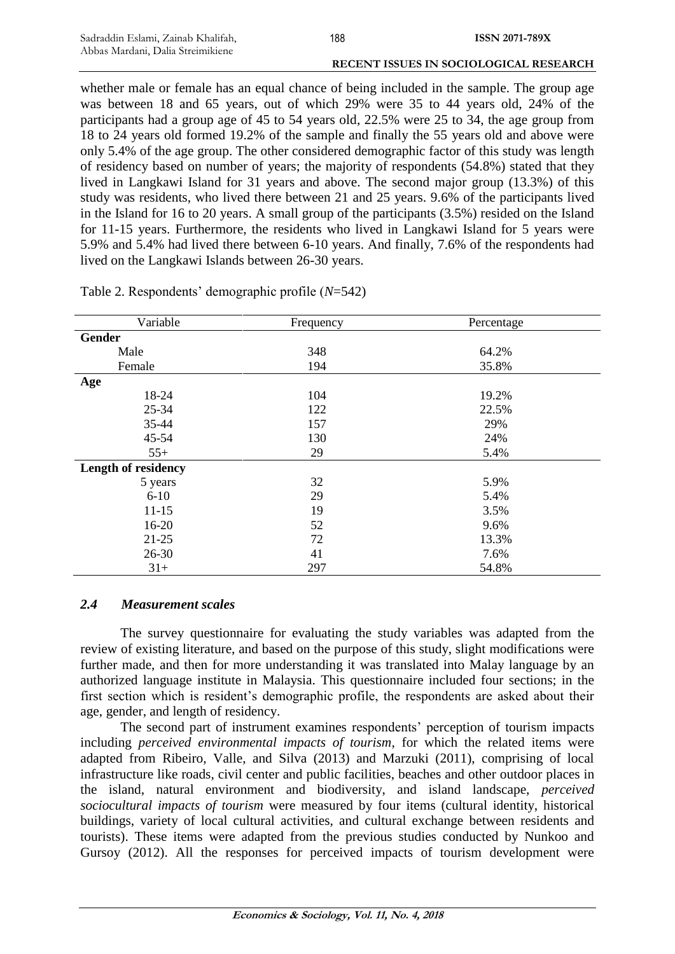whether male or female has an equal chance of being included in the sample. The group age was between 18 and 65 years, out of which 29% were 35 to 44 years old, 24% of the participants had a group age of 45 to 54 years old, 22.5% were 25 to 34, the age group from 18 to 24 years old formed 19.2% of the sample and finally the 55 years old and above were only 5.4% of the age group. The other considered demographic factor of this study was length of residency based on number of years; the majority of respondents (54.8%) stated that they lived in Langkawi Island for 31 years and above. The second major group (13.3%) of this study was residents, who lived there between 21 and 25 years. 9.6% of the participants lived in the Island for 16 to 20 years. A small group of the participants (3.5%) resided on the Island for 11-15 years. Furthermore, the residents who lived in Langkawi Island for 5 years were 5.9% and 5.4% had lived there between 6-10 years. And finally, 7.6% of the respondents had lived on the Langkawi Islands between 26-30 years.

| Variable                   | Frequency | Percentage |  |
|----------------------------|-----------|------------|--|
| <b>Gender</b>              |           |            |  |
| Male                       | 348       | 64.2%      |  |
| Female                     | 194       | 35.8%      |  |
| Age                        |           |            |  |
| 18-24                      | 104       | 19.2%      |  |
| 25-34                      | 122       | 22.5%      |  |
| 35-44                      | 157       | 29%        |  |
| 45-54                      | 130       | 24%        |  |
| $55+$                      | 29        | 5.4%       |  |
| <b>Length of residency</b> |           |            |  |
| 5 years                    | 32        | 5.9%       |  |
| $6 - 10$                   | 29        | 5.4%       |  |
| $11 - 15$                  | 19        | 3.5%       |  |
| $16-20$                    | 52        | 9.6%       |  |
| $21 - 25$                  | 72        | 13.3%      |  |
| $26 - 30$                  | 41        | 7.6%       |  |
| $31+$                      | 297       | 54.8%      |  |

Table 2. Respondents' demographic profile (*N*=542)

# *2.4 Measurement scales*

The survey questionnaire for evaluating the study variables was adapted from the review of existing literature, and based on the purpose of this study, slight modifications were further made, and then for more understanding it was translated into Malay language by an authorized language institute in Malaysia. This questionnaire included four sections; in the first section which is resident's demographic profile, the respondents are asked about their age, gender, and length of residency.

The second part of instrument examines respondents' perception of tourism impacts including *perceived environmental impacts of tourism*, for which the related items were adapted from Ribeiro, Valle, and Silva (2013) and Marzuki (2011), comprising of local infrastructure like roads, civil center and public facilities, beaches and other outdoor places in the island, natural environment and biodiversity, and island landscape, *perceived sociocultural impacts of tourism* were measured by four items (cultural identity, historical buildings, variety of local cultural activities, and cultural exchange between residents and tourists). These items were adapted from the previous studies conducted by Nunkoo and Gursoy (2012). All the responses for perceived impacts of tourism development were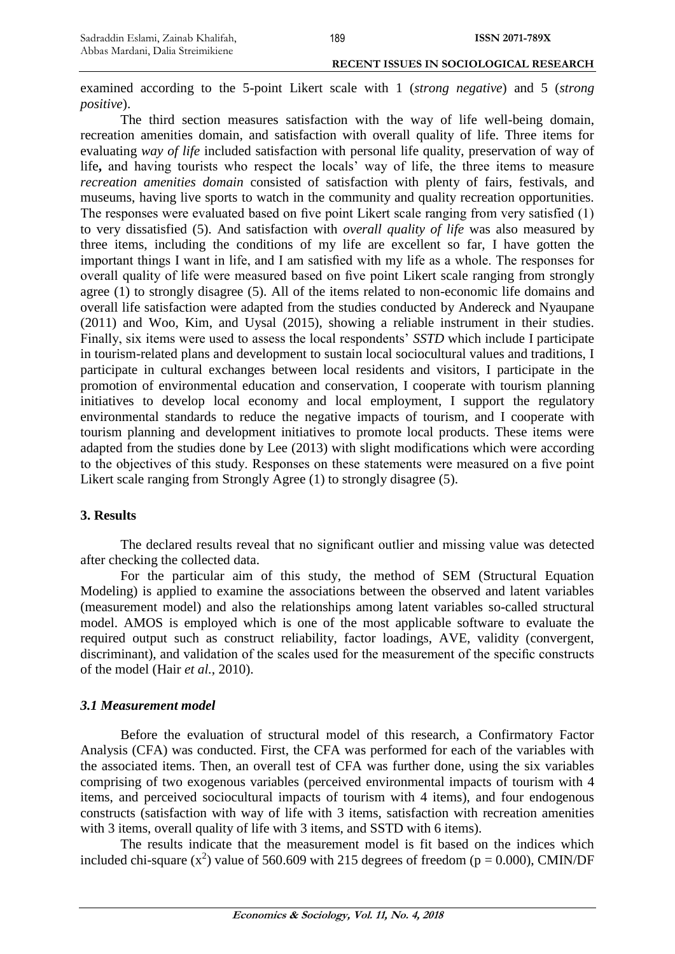examined according to the 5-point Likert scale with 1 (*strong negative*) and 5 (*strong positive*).

The third section measures satisfaction with the way of life well-being domain, recreation amenities domain, and satisfaction with overall quality of life. Three items for evaluating *way of life* included satisfaction with personal life quality, preservation of way of life**,** and having tourists who respect the locals' way of life, the three items to measure *recreation amenities domain* consisted of satisfaction with plenty of fairs, festivals, and museums, having live sports to watch in the community and quality recreation opportunities. The responses were evaluated based on five point Likert scale ranging from very satisfied (1) to very dissatisfied (5). And satisfaction with *overall quality of life* was also measured by three items, including the conditions of my life are excellent so far, I have gotten the important things I want in life, and I am satisfied with my life as a whole. The responses for overall quality of life were measured based on five point Likert scale ranging from strongly agree (1) to strongly disagree (5). All of the items related to non-economic life domains and overall life satisfaction were adapted from the studies conducted by Andereck and Nyaupane (2011) and Woo, Kim, and Uysal (2015), showing a reliable instrument in their studies. Finally, six items were used to assess the local respondents' *SSTD* which include I participate in tourism-related plans and development to sustain local sociocultural values and traditions, I participate in cultural exchanges between local residents and visitors, I participate in the promotion of environmental education and conservation, I cooperate with tourism planning initiatives to develop local economy and local employment, I support the regulatory environmental standards to reduce the negative impacts of tourism, and I cooperate with tourism planning and development initiatives to promote local products. These items were adapted from the studies done by Lee (2013) with slight modifications which were according to the objectives of this study. Responses on these statements were measured on a five point Likert scale ranging from Strongly Agree (1) to strongly disagree (5).

### **3. Results**

The declared results reveal that no significant outlier and missing value was detected after checking the collected data.

For the particular aim of this study, the method of SEM (Structural Equation Modeling) is applied to examine the associations between the observed and latent variables (measurement model) and also the relationships among latent variables so-called structural model. AMOS is employed which is one of the most applicable software to evaluate the required output such as construct reliability, factor loadings, AVE, validity (convergent, discriminant), and validation of the scales used for the measurement of the specific constructs of the model (Hair *et al.*, 2010).

### *3.1 Measurement model*

Before the evaluation of structural model of this research, a Confirmatory Factor Analysis (CFA) was conducted. First, the CFA was performed for each of the variables with the associated items. Then, an overall test of CFA was further done, using the six variables comprising of two exogenous variables (perceived environmental impacts of tourism with 4 items, and perceived sociocultural impacts of tourism with 4 items), and four endogenous constructs (satisfaction with way of life with 3 items, satisfaction with recreation amenities with 3 items, overall quality of life with 3 items, and SSTD with 6 items).

The results indicate that the measurement model is fit based on the indices which included chi-square  $(x^2)$  value of 560.609 with 215 degrees of freedom ( $p = 0.000$ ), CMIN/DF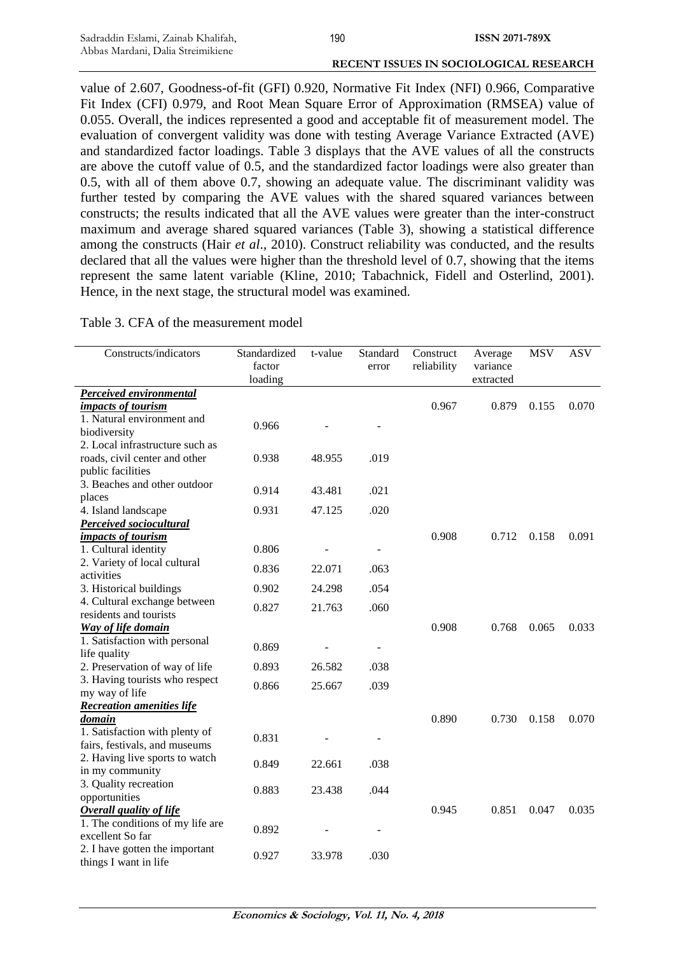value of 2.607, Goodness-of-fit (GFI) 0.920, Normative Fit Index (NFI) 0.966, Comparative Fit Index (CFI) 0.979, and Root Mean Square Error of Approximation (RMSEA) value of 0.055. Overall, the indices represented a good and acceptable fit of measurement model. The evaluation of convergent validity was done with testing Average Variance Extracted (AVE) and standardized factor loadings. Table 3 displays that the AVE values of all the constructs are above the cutoff value of 0.5, and the standardized factor loadings were also greater than 0.5, with all of them above 0.7, showing an adequate value. The discriminant validity was further tested by comparing the AVE values with the shared squared variances between constructs; the results indicated that all the AVE values were greater than the inter-construct maximum and average shared squared variances (Table 3), showing a statistical difference among the constructs (Hair *et al*., 2010). Construct reliability was conducted, and the results declared that all the values were higher than the threshold level of 0.7, showing that the items represent the same latent variable (Kline, 2010; Tabachnick, Fidell and Osterlind, 2001). Hence, in the next stage, the structural model was examined.

Table 3. CFA of the measurement model

| Constructs/indicators                                   | Standardized<br>factor<br>loading | t-value | Standard<br>error | Construct<br>reliability | Average<br>variance<br>extracted | <b>MSV</b> | <b>ASV</b> |
|---------------------------------------------------------|-----------------------------------|---------|-------------------|--------------------------|----------------------------------|------------|------------|
| <b>Perceived environmental</b>                          |                                   |         |                   |                          |                                  |            |            |
| <i>impacts of tourism</i>                               |                                   |         |                   | 0.967                    | 0.879                            | 0.155      | 0.070      |
| 1. Natural environment and                              |                                   |         |                   |                          |                                  |            |            |
| biodiversity                                            | 0.966                             |         |                   |                          |                                  |            |            |
| 2. Local infrastructure such as                         |                                   |         |                   |                          |                                  |            |            |
| roads, civil center and other                           | 0.938                             | 48.955  | .019              |                          |                                  |            |            |
| public facilities                                       |                                   |         |                   |                          |                                  |            |            |
| 3. Beaches and other outdoor                            | 0.914                             | 43.481  |                   |                          |                                  |            |            |
| places                                                  |                                   |         | .021              |                          |                                  |            |            |
| 4. Island landscape                                     | 0.931                             | 47.125  | .020              |                          |                                  |            |            |
| <b>Perceived sociocultural</b>                          |                                   |         |                   |                          |                                  |            |            |
| impacts of tourism                                      |                                   |         |                   | 0.908                    | 0.712                            | 0.158      | 0.091      |
| 1. Cultural identity                                    | 0.806                             |         |                   |                          |                                  |            |            |
| 2. Variety of local cultural                            | 0.836                             | 22.071  | .063              |                          |                                  |            |            |
| activities                                              |                                   |         |                   |                          |                                  |            |            |
| 3. Historical buildings                                 | 0.902                             | 24.298  | .054              |                          |                                  |            |            |
| 4. Cultural exchange between                            | 0.827                             | 21.763  | .060              |                          |                                  |            |            |
| residents and tourists                                  |                                   |         |                   |                          |                                  |            |            |
| Way of life domain                                      |                                   |         |                   | 0.908                    | 0.768                            | 0.065      | 0.033      |
| 1. Satisfaction with personal                           | 0.869                             |         |                   |                          |                                  |            |            |
| life quality                                            |                                   |         |                   |                          |                                  |            |            |
| 2. Preservation of way of life                          | 0.893                             | 26.582  | .038              |                          |                                  |            |            |
| 3. Having tourists who respect                          | 0.866                             | 25.667  | .039              |                          |                                  |            |            |
| my way of life                                          |                                   |         |                   |                          |                                  |            |            |
| <b>Recreation amenities life</b>                        |                                   |         |                   |                          |                                  |            |            |
| <i><u>domain</u></i>                                    |                                   |         |                   | 0.890                    | 0.730                            | 0.158      | 0.070      |
| 1. Satisfaction with plenty of                          | 0.831                             |         |                   |                          |                                  |            |            |
| fairs, festivals, and museums                           |                                   |         |                   |                          |                                  |            |            |
| 2. Having live sports to watch                          | 0.849                             | 22.661  | .038              |                          |                                  |            |            |
| in my community                                         |                                   |         |                   |                          |                                  |            |            |
| 3. Quality recreation                                   | 0.883                             | 23.438  | .044              |                          |                                  |            |            |
| opportunities                                           |                                   |         |                   |                          |                                  |            |            |
| <b>Overall quality of life</b>                          |                                   |         |                   | 0.945                    | 0.851                            | 0.047      | 0.035      |
| 1. The conditions of my life are                        | 0.892                             |         |                   |                          |                                  |            |            |
| excellent So far                                        |                                   |         |                   |                          |                                  |            |            |
| 2. I have gotten the important<br>things I want in life | 0.927                             | 33.978  | .030              |                          |                                  |            |            |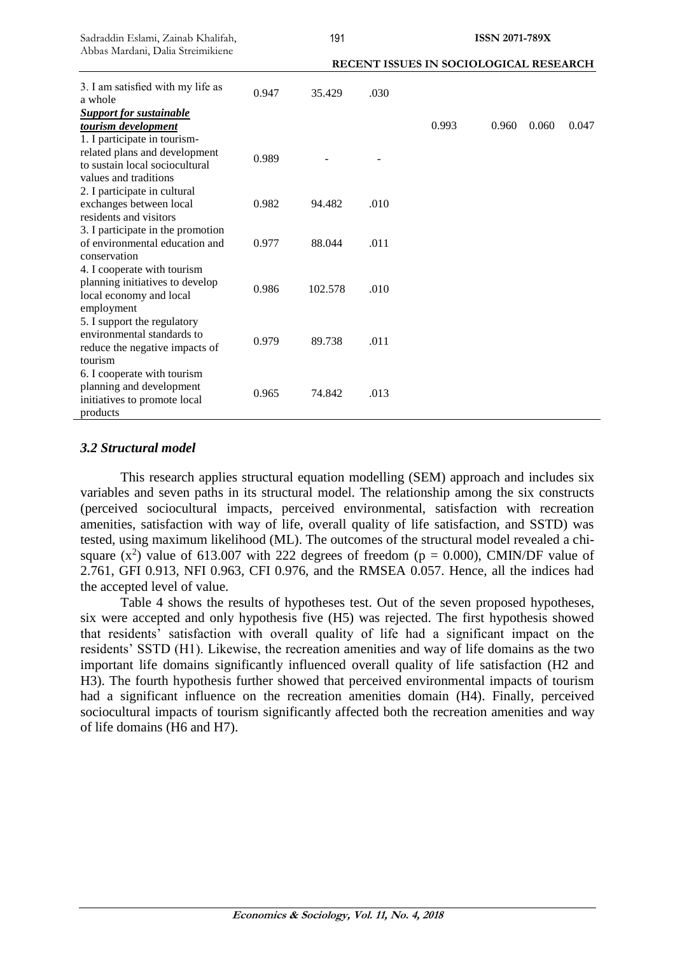| Sadraddin Eslami, Zainab Khalifah,<br>Abbas Mardani, Dalia Streimikiene                                 | 191                                    |         |      |       | <b>ISSN 2071-789X</b> |       |       |  |
|---------------------------------------------------------------------------------------------------------|----------------------------------------|---------|------|-------|-----------------------|-------|-------|--|
|                                                                                                         | RECENT ISSUES IN SOCIOLOGICAL RESEARCH |         |      |       |                       |       |       |  |
| 3. I am satisfied with my life as<br>a whole                                                            | 0.947                                  | 35.429  | .030 |       |                       |       |       |  |
| <b>Support for sustainable</b><br>tourism development<br>1. I participate in tourism-                   |                                        |         |      | 0.993 | 0.960                 | 0.060 | 0.047 |  |
| related plans and development<br>to sustain local sociocultural<br>values and traditions                | 0.989                                  |         |      |       |                       |       |       |  |
| 2. I participate in cultural<br>exchanges between local<br>residents and visitors                       | 0.982                                  | 94.482  | .010 |       |                       |       |       |  |
| 3. I participate in the promotion<br>of environmental education and<br>conservation                     | 0.977                                  | 88.044  | .011 |       |                       |       |       |  |
| 4. I cooperate with tourism<br>planning initiatives to develop<br>local economy and local<br>employment | 0.986                                  | 102.578 | .010 |       |                       |       |       |  |
| 5. I support the regulatory<br>environmental standards to<br>reduce the negative impacts of<br>tourism  | 0.979                                  | 89.738  | .011 |       |                       |       |       |  |
| 6. I cooperate with tourism<br>planning and development<br>initiatives to promote local<br>products     | 0.965                                  | 74.842  | .013 |       |                       |       |       |  |

# *3.2 Structural model*

This research applies structural equation modelling (SEM) approach and includes six variables and seven paths in its structural model. The relationship among the six constructs (perceived sociocultural impacts, perceived environmental, satisfaction with recreation amenities, satisfaction with way of life, overall quality of life satisfaction, and SSTD) was tested, using maximum likelihood (ML). The outcomes of the structural model revealed a chisquare  $(x^2)$  value of 613.007 with 222 degrees of freedom ( $p = 0.000$ ), CMIN/DF value of 2.761, GFI 0.913, NFI 0.963, CFI 0.976, and the RMSEA 0.057. Hence, all the indices had the accepted level of value.

Table 4 shows the results of hypotheses test. Out of the seven proposed hypotheses, six were accepted and only hypothesis five (H5) was rejected. The first hypothesis showed that residents' satisfaction with overall quality of life had a significant impact on the residents' SSTD (H1). Likewise, the recreation amenities and way of life domains as the two important life domains significantly influenced overall quality of life satisfaction (H2 and H3). The fourth hypothesis further showed that perceived environmental impacts of tourism had a significant influence on the recreation amenities domain (H4). Finally, perceived sociocultural impacts of tourism significantly affected both the recreation amenities and way of life domains (H6 and H7).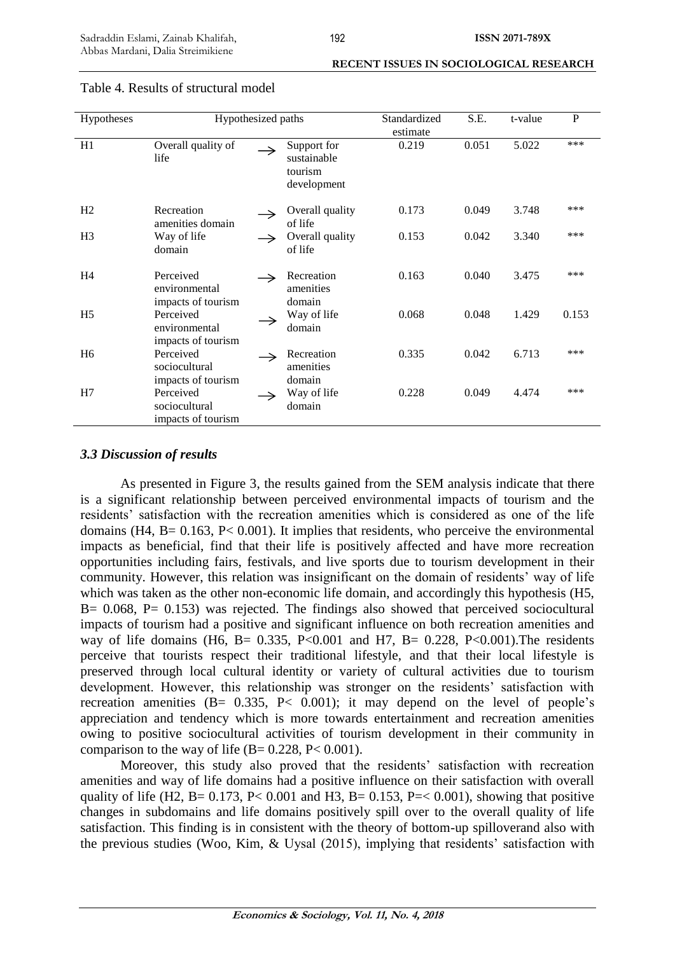| Hypotheses     | Hypothesized paths                               |               |                                                      | Standardized | S.E.  | t-value | P     |
|----------------|--------------------------------------------------|---------------|------------------------------------------------------|--------------|-------|---------|-------|
|                |                                                  |               |                                                      | estimate     |       |         |       |
| H1             | Overall quality of<br>life                       | $\rightarrow$ | Support for<br>sustainable<br>tourism<br>development | 0.219        | 0.051 | 5.022   | ***   |
| H <sub>2</sub> | Recreation<br>amenities domain                   |               | Overall quality<br>of life                           | 0.173        | 0.049 | 3.748   | ***   |
| H <sub>3</sub> | Way of life<br>domain                            |               | Overall quality<br>of life                           | 0.153        | 0.042 | 3.340   | ***   |
| H <sub>4</sub> | Perceived<br>environmental<br>impacts of tourism |               | Recreation<br>amenities<br>domain                    | 0.163        | 0.040 | 3.475   | ***   |
| H <sub>5</sub> | Perceived<br>environmental<br>impacts of tourism |               | Way of life<br>domain                                | 0.068        | 0.048 | 1.429   | 0.153 |
| H <sub>6</sub> | Perceived<br>sociocultural<br>impacts of tourism |               | Recreation<br>amenities<br>domain                    | 0.335        | 0.042 | 6.713   | ***   |
| H7             | Perceived<br>sociocultural<br>impacts of tourism |               | Way of life<br>domain                                | 0.228        | 0.049 | 4.474   | ***   |

### Table 4. Results of structural model

# *3.3 Discussion of results*

As presented in Figure 3, the results gained from the SEM analysis indicate that there is a significant relationship between perceived environmental impacts of tourism and the residents' satisfaction with the recreation amenities which is considered as one of the life domains  $(H4, B = 0.163, P < 0.001)$ . It implies that residents, who perceive the environmental impacts as beneficial, find that their life is positively affected and have more recreation opportunities including fairs, festivals, and live sports due to tourism development in their community. However, this relation was insignificant on the domain of residents' way of life which was taken as the other non-economic life domain, and accordingly this hypothesis (H5,  $B = 0.068$ ,  $P = 0.153$ ) was rejected. The findings also showed that perceived sociocultural impacts of tourism had a positive and significant influence on both recreation amenities and way of life domains (H6, B= 0.335, P<0.001 and H7, B= 0.228, P<0.001). The residents perceive that tourists respect their traditional lifestyle, and that their local lifestyle is preserved through local cultural identity or variety of cultural activities due to tourism development. However, this relationship was stronger on the residents' satisfaction with recreation amenities  $(B = 0.335, P < 0.001)$ ; it may depend on the level of people's appreciation and tendency which is more towards entertainment and recreation amenities owing to positive sociocultural activities of tourism development in their community in comparison to the way of life  $(B= 0.228, P< 0.001)$ .

Moreover, this study also proved that the residents' satisfaction with recreation amenities and way of life domains had a positive influence on their satisfaction with overall quality of life (H2, B= 0.173, P< 0.001 and H3, B= 0.153, P=< 0.001), showing that positive changes in subdomains and life domains positively spill over to the overall quality of life satisfaction. This finding is in consistent with the theory of bottom-up spilloverand also with the previous studies (Woo, Kim, & Uysal (2015), implying that residents' satisfaction with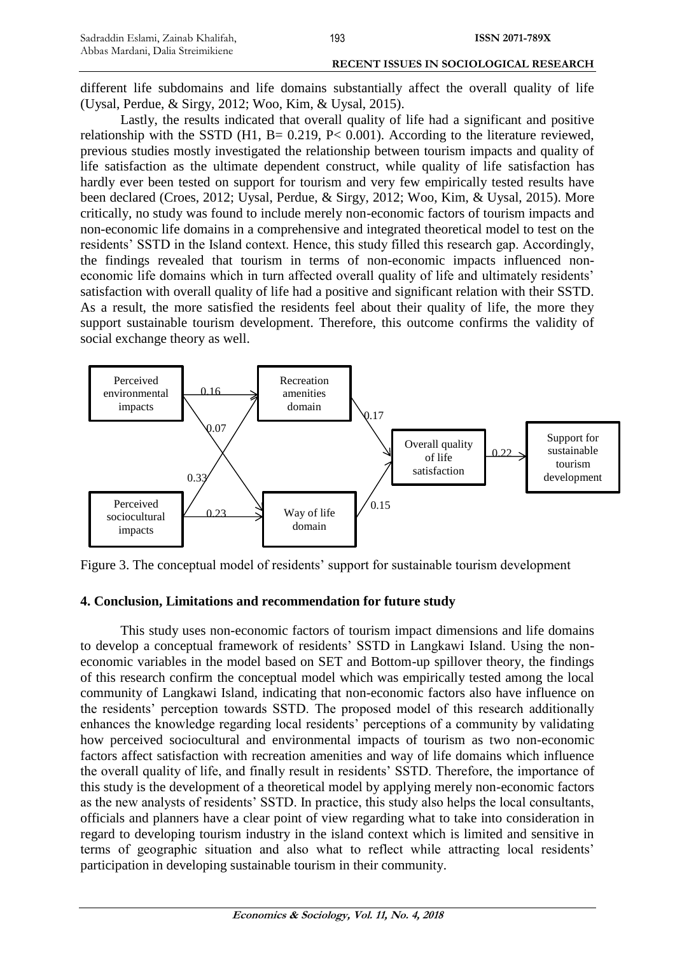different life subdomains and life domains substantially affect the overall quality of life (Uysal, Perdue, & Sirgy, 2012; Woo, Kim, & Uysal, 2015).

Lastly, the results indicated that overall quality of life had a significant and positive relationship with the SSTD (H1, B=  $0.219$ , P<  $0.001$ ). According to the literature reviewed, previous studies mostly investigated the relationship between tourism impacts and quality of life satisfaction as the ultimate dependent construct, while quality of life satisfaction has hardly ever been tested on support for tourism and very few empirically tested results have been declared (Croes, 2012; Uysal, Perdue, & Sirgy, 2012; Woo, Kim, & Uysal, 2015). More critically, no study was found to include merely non-economic factors of tourism impacts and non-economic life domains in a comprehensive and integrated theoretical model to test on the residents' SSTD in the Island context. Hence, this study filled this research gap. Accordingly, the findings revealed that tourism in terms of non-economic impacts influenced noneconomic life domains which in turn affected overall quality of life and ultimately residents' satisfaction with overall quality of life had a positive and significant relation with their SSTD. As a result, the more satisfied the residents feel about their quality of life, the more they support sustainable tourism development. Therefore, this outcome confirms the validity of social exchange theory as well.



Figure 3. The conceptual model of residents' support for sustainable tourism development

# **4. Conclusion, Limitations and recommendation for future study**

This study uses non-economic factors of tourism impact dimensions and life domains to develop a conceptual framework of residents' SSTD in Langkawi Island. Using the noneconomic variables in the model based on SET and Bottom-up spillover theory, the findings of this research confirm the conceptual model which was empirically tested among the local community of Langkawi Island, indicating that non-economic factors also have influence on the residents' perception towards SSTD. The proposed model of this research additionally enhances the knowledge regarding local residents' perceptions of a community by validating how perceived sociocultural and environmental impacts of tourism as two non-economic factors affect satisfaction with recreation amenities and way of life domains which influence the overall quality of life, and finally result in residents' SSTD. Therefore, the importance of this study is the development of a theoretical model by applying merely non-economic factors as the new analysts of residents' SSTD. In practice, this study also helps the local consultants, officials and planners have a clear point of view regarding what to take into consideration in regard to developing tourism industry in the island context which is limited and sensitive in terms of geographic situation and also what to reflect while attracting local residents' participation in developing sustainable tourism in their community.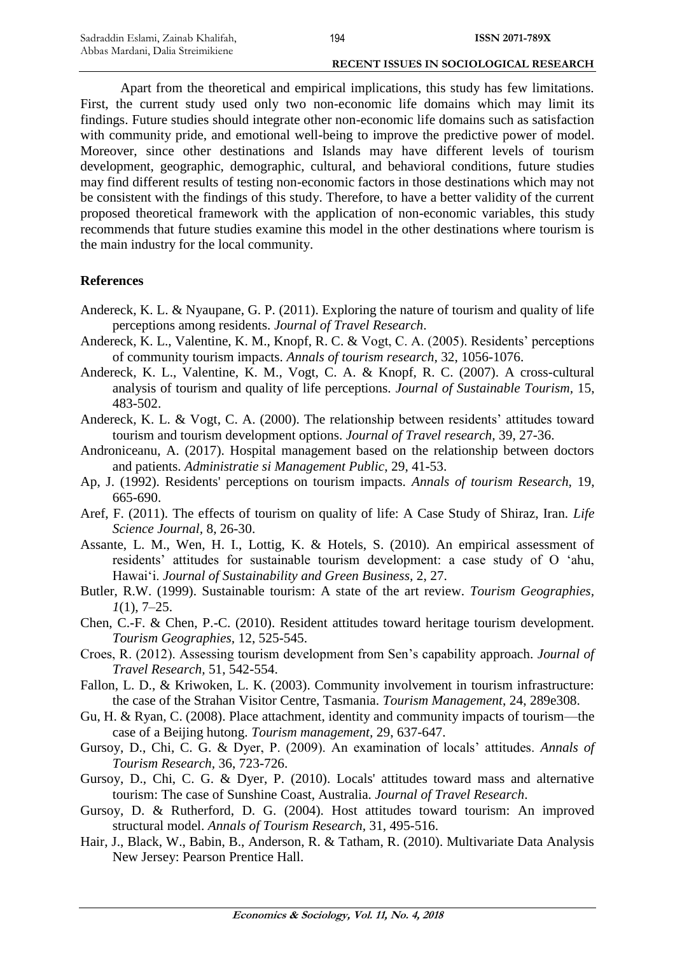Apart from the theoretical and empirical implications, this study has few limitations. First, the current study used only two non-economic life domains which may limit its findings. Future studies should integrate other non-economic life domains such as satisfaction with community pride, and emotional well-being to improve the predictive power of model. Moreover, since other destinations and Islands may have different levels of tourism development, geographic, demographic, cultural, and behavioral conditions, future studies may find different results of testing non-economic factors in those destinations which may not be consistent with the findings of this study. Therefore, to have a better validity of the current proposed theoretical framework with the application of non-economic variables, this study recommends that future studies examine this model in the other destinations where tourism is the main industry for the local community.

### **References**

- Andereck, K. L. & Nyaupane, G. P. (2011). Exploring the nature of tourism and quality of life perceptions among residents. *Journal of Travel Research*.
- Andereck, K. L., Valentine, K. M., Knopf, R. C. & Vogt, C. A. (2005). Residents' perceptions of community tourism impacts. *Annals of tourism research,* 32, 1056-1076.
- Andereck, K. L., Valentine, K. M., Vogt, C. A. & Knopf, R. C. (2007). A cross-cultural analysis of tourism and quality of life perceptions. *Journal of Sustainable Tourism,* 15, 483-502.
- Andereck, K. L. & Vogt, C. A. (2000). The relationship between residents' attitudes toward tourism and tourism development options. *Journal of Travel research,* 39, 27-36.
- Androniceanu, A. (2017). Hospital management based on the relationship between doctors and patients. *Administratie si Management Public*, 29, 41-53.
- Ap, J. (1992). Residents' perceptions on tourism impacts. *Annals of tourism Research,* 19, 665-690.
- Aref, F. (2011). The effects of tourism on quality of life: A Case Study of Shiraz, Iran. *Life Science Journal,* 8, 26-30.
- Assante, L. M., Wen, H. I., Lottig, K. & Hotels, S. (2010). An empirical assessment of residents' attitudes for sustainable tourism development: a case study of O 'ahu, Hawai'i. *Journal of Sustainability and Green Business,* 2, 27.
- Butler, R.W. (1999). Sustainable tourism: A state of the art review. *Tourism Geographies, 1*(1), 7–25.
- Chen, C.-F. & Chen, P.-C. (2010). Resident attitudes toward heritage tourism development. *Tourism Geographies,* 12, 525-545.
- Croes, R. (2012). Assessing tourism development from Sen's capability approach. *Journal of Travel Research,* 51, 542-554.
- Fallon, L. D., & Kriwoken, L. K. (2003). Community involvement in tourism infrastructure: the case of the Strahan Visitor Centre, Tasmania. *Tourism Management*, 24, 289e308.
- Gu, H. & Ryan, C. (2008). Place attachment, identity and community impacts of tourism—the case of a Beijing hutong. *Tourism management,* 29, 637-647.
- Gursoy, D., Chi, C. G. & Dyer, P. (2009). An examination of locals' attitudes. *Annals of Tourism Research,* 36, 723-726.
- Gursoy, D., Chi, C. G. & Dyer, P. (2010). Locals' attitudes toward mass and alternative tourism: The case of Sunshine Coast, Australia. *Journal of Travel Research*.
- Gursoy, D. & Rutherford, D. G. (2004). Host attitudes toward tourism: An improved structural model. *Annals of Tourism Research,* 31, 495-516.
- Hair, J., Black, W., Babin, B., Anderson, R. & Tatham, R. (2010). Multivariate Data Analysis New Jersey: Pearson Prentice Hall.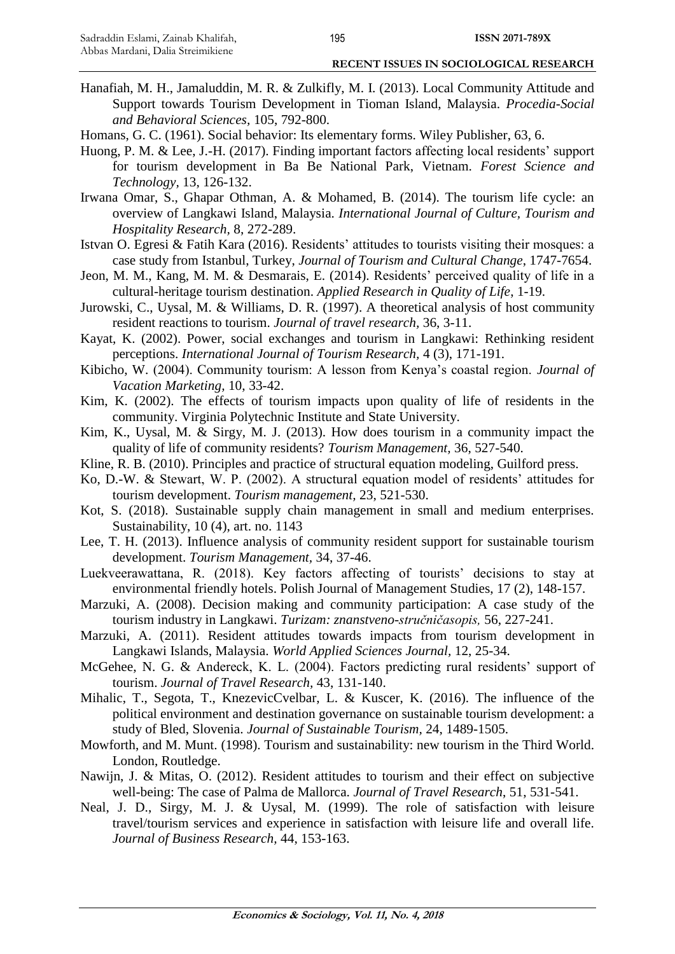- Hanafiah, M. H., Jamaluddin, M. R. & Zulkifly, M. I. (2013). Local Community Attitude and Support towards Tourism Development in Tioman Island, Malaysia. *Procedia-Social and Behavioral Sciences,* 105, 792-800.
- Homans, G. C. (1961). Social behavior: Its elementary forms. Wiley Publisher, 63, 6.
- Huong, P. M. & Lee, J.-H. (2017). Finding important factors affecting local residents' support for tourism development in Ba Be National Park, Vietnam. *Forest Science and Technology,* 13, 126-132.
- Irwana Omar, S., Ghapar Othman, A. & Mohamed, B. (2014). The tourism life cycle: an overview of Langkawi Island, Malaysia. *International Journal of Culture, Tourism and Hospitality Research,* 8, 272-289.
- Istvan O. Egresi & Fatih Kara (2016). Residents' attitudes to tourists visiting their mosques: a case study from Istanbul, Turkey, *Journal of Tourism and Cultural Change*, 1747-7654.
- Jeon, M. M., Kang, M. M. & Desmarais, E. (2014). Residents' perceived quality of life in a cultural-heritage tourism destination. *Applied Research in Quality of Life*, 1-19.
- Jurowski, C., Uysal, M. & Williams, D. R. (1997). A theoretical analysis of host community resident reactions to tourism. *Journal of travel research,* 36, 3-11.
- Kayat, K. (2002). Power, social exchanges and tourism in Langkawi: Rethinking resident perceptions. *International Journal of Tourism Research,* 4 (3), 171-191.
- Kibicho, W. (2004). Community tourism: A lesson from Kenya's coastal region. *Journal of Vacation Marketing,* 10, 33-42.
- Kim, K. (2002). The effects of tourism impacts upon quality of life of residents in the community. Virginia Polytechnic Institute and State University.
- Kim, K., Uysal, M. & Sirgy, M. J. (2013). How does tourism in a community impact the quality of life of community residents? *Tourism Management,* 36, 527-540.
- Kline, R. B. (2010). Principles and practice of structural equation modeling, Guilford press.
- Ko, D.-W. & Stewart, W. P. (2002). A structural equation model of residents' attitudes for tourism development. *Tourism management,* 23, 521-530.
- Kot, S. (2018). Sustainable supply chain management in small and medium enterprises. Sustainability, 10 (4), art. no. 1143
- Lee, T. H. (2013). Influence analysis of community resident support for sustainable tourism development. *Tourism Management,* 34, 37-46.
- Luekveerawattana, R. (2018). Key factors affecting of tourists' decisions to stay at environmental friendly hotels. Polish Journal of Management Studies, 17 (2), 148-157.
- Marzuki, A. (2008). Decision making and community participation: A case study of the tourism industry in Langkawi. *Turizam: znanstveno-stručničasopis,* 56, 227-241.
- Marzuki, A. (2011). Resident attitudes towards impacts from tourism development in Langkawi Islands, Malaysia. *World Applied Sciences Journal,* 12, 25-34.
- McGehee, N. G. & Andereck, K. L. (2004). Factors predicting rural residents' support of tourism. *Journal of Travel Research,* 43, 131-140.
- Mihalic, T., Segota, T., KnezevicCvelbar, L. & Kuscer, K. (2016). The influence of the political environment and destination governance on sustainable tourism development: a study of Bled, Slovenia. *Journal of Sustainable Tourism,* 24, 1489-1505.
- Mowforth, and M. Munt. (1998). Tourism and sustainability: new tourism in the Third World. London, Routledge.
- Nawijn, J. & Mitas, O. (2012). Resident attitudes to tourism and their effect on subjective well-being: The case of Palma de Mallorca. *Journal of Travel Research*, 51, 531-541.
- Neal, J. D., Sirgy, M. J. & Uysal, M. (1999). The role of satisfaction with leisure travel/tourism services and experience in satisfaction with leisure life and overall life. *Journal of Business Research,* 44, 153-163.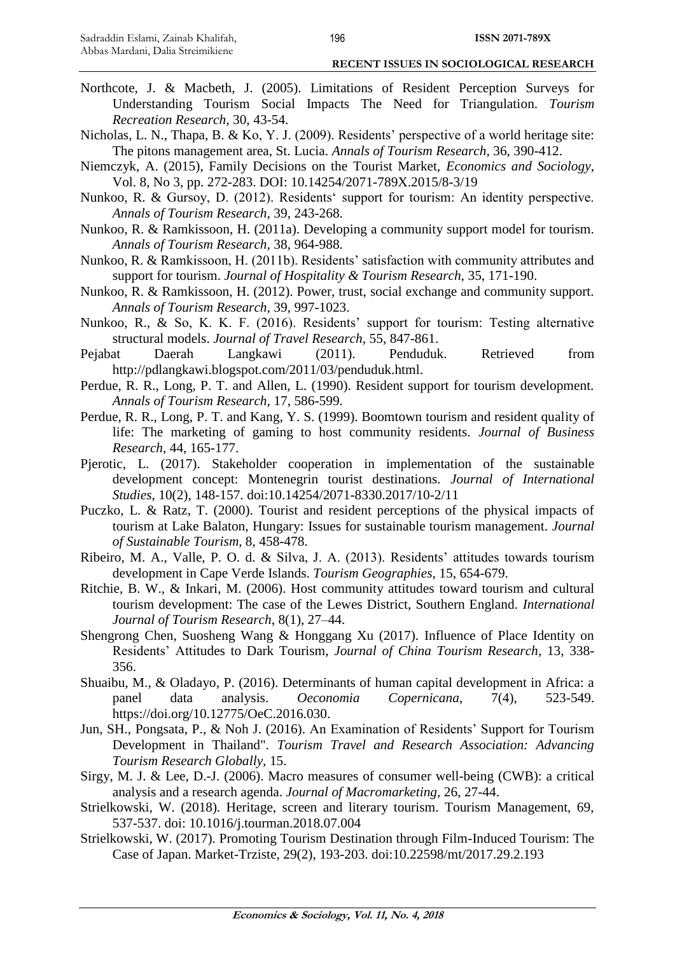- Northcote, J. & Macbeth, J. (2005). Limitations of Resident Perception Surveys for Understanding Tourism Social Impacts The Need for Triangulation. *Tourism Recreation Research,* 30, 43-54.
- Nicholas, L. N., Thapa, B. & Ko, Y. J. (2009). Residents' perspective of a world heritage site: The pitons management area, St. Lucia. *Annals of Tourism Research,* 36, 390-412.
- Niemczyk, A. (2015), Family Decisions on the Tourist Market, *Economics and Sociology*, Vol. 8, No 3, pp. 272-283. DOI: 10.14254/2071-789X.2015/8-3/19
- Nunkoo, R. & Gursoy, D. (2012). Residents' support for tourism: An identity perspective. *Annals of Tourism Research,* 39, 243-268.
- Nunkoo, R. & Ramkissoon, H. (2011a). Developing a community support model for tourism. *Annals of Tourism Research,* 38, 964-988.
- Nunkoo, R. & Ramkissoon, H. (2011b). Residents' satisfaction with community attributes and support for tourism. *Journal of Hospitality & Tourism Research,* 35, 171-190.
- Nunkoo, R. & Ramkissoon, H. (2012). Power, trust, social exchange and community support. *Annals of Tourism Research,* 39, 997-1023.
- Nunkoo, R., & So, K. K. F. (2016). Residents' support for tourism: Testing alternative structural models. *Journal of Travel Research,* 55, 847-861.
- Pejabat Daerah Langkawi (2011). Penduduk. Retrieved from http://pdlangkawi.blogspot.com/2011/03/penduduk.html.
- Perdue, R. R., Long, P. T. and Allen, L. (1990). Resident support for tourism development. *Annals of Tourism Research,* 17, 586-599.
- Perdue, R. R., Long, P. T. and Kang, Y. S. (1999). Boomtown tourism and resident quality of life: The marketing of gaming to host community residents. *Journal of Business Research,* 44, 165-177.
- Pjerotic, L. (2017). Stakeholder cooperation in implementation of the sustainable development concept: Montenegrin tourist destinations. *Journal of International Studies*, 10(2), 148-157. doi:10.14254/2071-8330.2017/10-2/11
- Puczko, L. & Ratz, T. (2000). Tourist and resident perceptions of the physical impacts of tourism at Lake Balaton, Hungary: Issues for sustainable tourism management. *Journal of Sustainable Tourism,* 8, 458-478.
- Ribeiro, M. A., Valle, P. O. d. & Silva, J. A. (2013). Residents' attitudes towards tourism development in Cape Verde Islands. *Tourism Geographies,* 15, 654-679.
- Ritchie, B. W., & Inkari, M. (2006). Host community attitudes toward tourism and cultural tourism development: The case of the Lewes District, Southern England. *International Journal of Tourism Research*, 8(1), 27–44.
- Shengrong Chen, Suosheng Wang & Honggang Xu (2017). Influence of Place Identity on Residents' Attitudes to Dark Tourism, *Journal of China Tourism Research*, 13, 338- 356.
- Shuaibu, M., & Oladayo, P. (2016). Determinants of human capital development in Africa: a panel data analysis. *Oeconomia Copernicana*, 7(4), 523-549. https://doi.org/10.12775/OeC.2016.030.
- Jun, SH., Pongsata, P., & Noh J. (2016). An Examination of Residents' Support for Tourism Development in Thailand". *Tourism Travel and Research Association: Advancing Tourism Research Globally,* 15.
- Sirgy, M. J. & Lee, D.-J. (2006). Macro measures of consumer well-being (CWB): a critical analysis and a research agenda. *Journal of Macromarketing,* 26, 27-44.
- Strielkowski, W. (2018). Heritage, screen and literary tourism. Tourism Management, 69, 537-537. doi: 10.1016/j.tourman.2018.07.004
- Strielkowski, W. (2017). Promoting Tourism Destination through Film-Induced Tourism: The Case of Japan. Market-Trziste, 29(2), 193-203. doi:10.22598/mt/2017.29.2.193

196